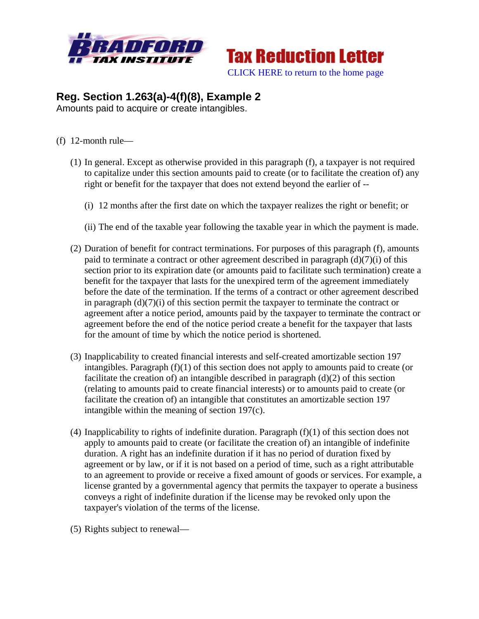



## **Reg. Section 1.263(a)-4(f)(8), Example 2**

Amounts paid to acquire or create intangibles.

- (f) 12-month rule—
	- (1) In general. Except as otherwise provided in this paragraph (f), a taxpayer is not required to capitalize under this section amounts paid to create (or to facilitate the creation of) any right or benefit for the taxpayer that does not extend beyond the earlier of --
		- (i) 12 months after the first date on which the taxpayer realizes the right or benefit; or
		- (ii) The end of the taxable year following the taxable year in which the payment is made.
	- (2) Duration of benefit for contract terminations. For purposes of this paragraph (f), amounts paid to terminate a contract or other agreement described in paragraph (d)(7)(i) of this section prior to its expiration date (or amounts paid to facilitate such termination) create a benefit for the taxpayer that lasts for the unexpired term of the agreement immediately before the date of the termination. If the terms of a contract or other agreement described in paragraph  $(d)(7)(i)$  of this section permit the taxpayer to terminate the contract or agreement after a notice period, amounts paid by the taxpayer to terminate the contract or agreement before the end of the notice period create a benefit for the taxpayer that lasts for the amount of time by which the notice period is shortened.
	- (3) Inapplicability to created financial interests and self-created amortizable section 197 intangibles. Paragraph (f)(1) of this section does not apply to amounts paid to create (or facilitate the creation of) an intangible described in paragraph  $(d)(2)$  of this section (relating to amounts paid to create financial interests) or to amounts paid to create (or facilitate the creation of) an intangible that constitutes an amortizable section 197 intangible within the meaning of section 197(c).
	- (4) Inapplicability to rights of indefinite duration. Paragraph  $(f)(1)$  of this section does not apply to amounts paid to create (or facilitate the creation of) an intangible of indefinite duration. A right has an indefinite duration if it has no period of duration fixed by agreement or by law, or if it is not based on a period of time, such as a right attributable to an agreement to provide or receive a fixed amount of goods or services. For example, a license granted by a governmental agency that permits the taxpayer to operate a business conveys a right of indefinite duration if the license may be revoked only upon the taxpayer's violation of the terms of the license.
	- (5) Rights subject to renewal—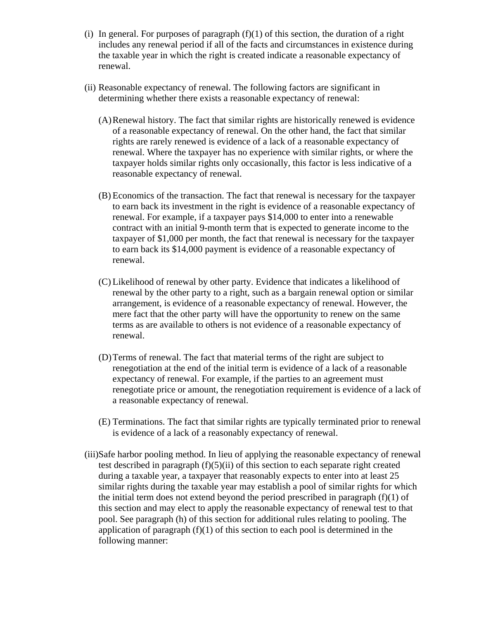- (i) In general. For purposes of paragraph  $(f)(1)$  of this section, the duration of a right includes any renewal period if all of the facts and circumstances in existence during the taxable year in which the right is created indicate a reasonable expectancy of renewal.
- (ii) Reasonable expectancy of renewal. The following factors are significant in determining whether there exists a reasonable expectancy of renewal:
	- (A)Renewal history. The fact that similar rights are historically renewed is evidence of a reasonable expectancy of renewal. On the other hand, the fact that similar rights are rarely renewed is evidence of a lack of a reasonable expectancy of renewal. Where the taxpayer has no experience with similar rights, or where the taxpayer holds similar rights only occasionally, this factor is less indicative of a reasonable expectancy of renewal.
	- (B) Economics of the transaction. The fact that renewal is necessary for the taxpayer to earn back its investment in the right is evidence of a reasonable expectancy of renewal. For example, if a taxpayer pays \$14,000 to enter into a renewable contract with an initial 9-month term that is expected to generate income to the taxpayer of \$1,000 per month, the fact that renewal is necessary for the taxpayer to earn back its \$14,000 payment is evidence of a reasonable expectancy of renewal.
	- (C) Likelihood of renewal by other party. Evidence that indicates a likelihood of renewal by the other party to a right, such as a bargain renewal option or similar arrangement, is evidence of a reasonable expectancy of renewal. However, the mere fact that the other party will have the opportunity to renew on the same terms as are available to others is not evidence of a reasonable expectancy of renewal.
	- (D)Terms of renewal. The fact that material terms of the right are subject to renegotiation at the end of the initial term is evidence of a lack of a reasonable expectancy of renewal. For example, if the parties to an agreement must renegotiate price or amount, the renegotiation requirement is evidence of a lack of a reasonable expectancy of renewal.
	- (E) Terminations. The fact that similar rights are typically terminated prior to renewal is evidence of a lack of a reasonably expectancy of renewal.
- (iii)Safe harbor pooling method. In lieu of applying the reasonable expectancy of renewal test described in paragraph  $(f)(5)(ii)$  of this section to each separate right created during a taxable year, a taxpayer that reasonably expects to enter into at least 25 similar rights during the taxable year may establish a pool of similar rights for which the initial term does not extend beyond the period prescribed in paragraph  $(f)(1)$  of this section and may elect to apply the reasonable expectancy of renewal test to that pool. See paragraph (h) of this section for additional rules relating to pooling. The application of paragraph  $(f)(1)$  of this section to each pool is determined in the following manner: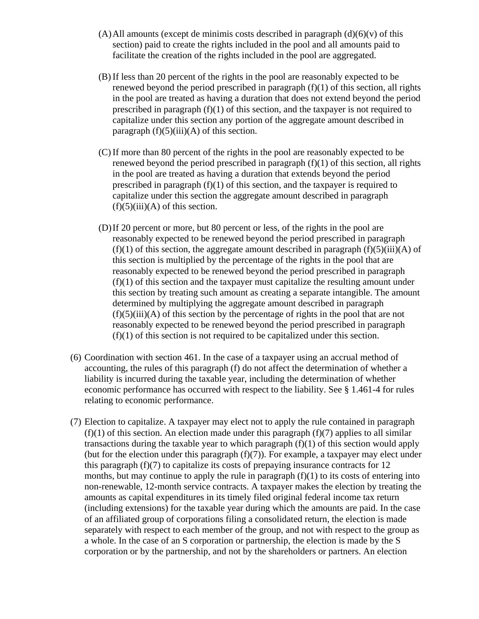- $(A)$ All amounts (except de minimis costs described in paragraph  $(d)(6)(v)$  of this section) paid to create the rights included in the pool and all amounts paid to facilitate the creation of the rights included in the pool are aggregated.
- (B) If less than 20 percent of the rights in the pool are reasonably expected to be renewed beyond the period prescribed in paragraph  $(f)(1)$  of this section, all rights in the pool are treated as having a duration that does not extend beyond the period prescribed in paragraph  $(f)(1)$  of this section, and the taxpayer is not required to capitalize under this section any portion of the aggregate amount described in paragraph  $(f)(5)(iii)(A)$  of this section.
- (C) If more than 80 percent of the rights in the pool are reasonably expected to be renewed beyond the period prescribed in paragraph  $(f)(1)$  of this section, all rights in the pool are treated as having a duration that extends beyond the period prescribed in paragraph (f)(1) of this section, and the taxpayer is required to capitalize under this section the aggregate amount described in paragraph  $(f)(5)(iii)(A)$  of this section.
- (D)If 20 percent or more, but 80 percent or less, of the rights in the pool are reasonably expected to be renewed beyond the period prescribed in paragraph  $(f)(1)$  of this section, the aggregate amount described in paragraph  $(f)(5)(iii)(A)$  of this section is multiplied by the percentage of the rights in the pool that are reasonably expected to be renewed beyond the period prescribed in paragraph  $(f)(1)$  of this section and the taxpayer must capitalize the resulting amount under this section by treating such amount as creating a separate intangible. The amount determined by multiplying the aggregate amount described in paragraph  $(f)(5)(iii)(A)$  of this section by the percentage of rights in the pool that are not reasonably expected to be renewed beyond the period prescribed in paragraph (f)(1) of this section is not required to be capitalized under this section.
- (6) Coordination with section 461. In the case of a taxpayer using an accrual method of accounting, the rules of this paragraph (f) do not affect the determination of whether a liability is incurred during the taxable year, including the determination of whether economic performance has occurred with respect to the liability. See § 1.461-4 for rules relating to economic performance.
- (7) Election to capitalize. A taxpayer may elect not to apply the rule contained in paragraph  $(f)(1)$  of this section. An election made under this paragraph  $(f)(7)$  applies to all similar transactions during the taxable year to which paragraph (f)(1) of this section would apply (but for the election under this paragraph  $(f)(7)$ ). For example, a taxpayer may elect under this paragraph (f)(7) to capitalize its costs of prepaying insurance contracts for 12 months, but may continue to apply the rule in paragraph  $(f)(1)$  to its costs of entering into non-renewable, 12-month service contracts. A taxpayer makes the election by treating the amounts as capital expenditures in its timely filed original federal income tax return (including extensions) for the taxable year during which the amounts are paid. In the case of an affiliated group of corporations filing a consolidated return, the election is made separately with respect to each member of the group, and not with respect to the group as a whole. In the case of an S corporation or partnership, the election is made by the S corporation or by the partnership, and not by the shareholders or partners. An election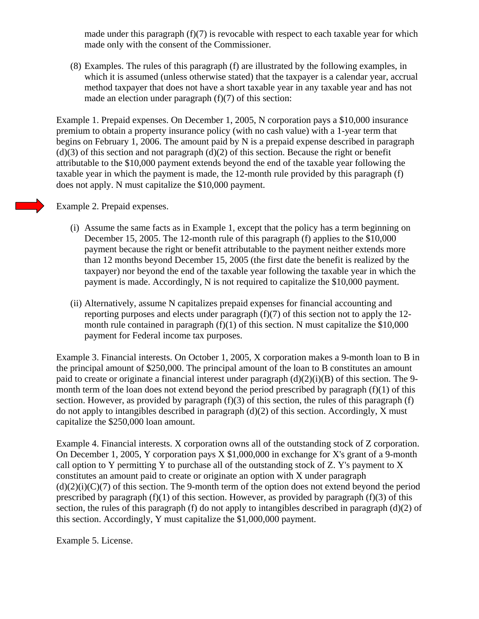made under this paragraph  $(f)(7)$  is revocable with respect to each taxable year for which made only with the consent of the Commissioner.

(8) Examples. The rules of this paragraph (f) are illustrated by the following examples, in which it is assumed (unless otherwise stated) that the taxpayer is a calendar year, accrual method taxpayer that does not have a short taxable year in any taxable year and has not made an election under paragraph  $(f)(7)$  of this section:

Example 1. Prepaid expenses. On December 1, 2005, N corporation pays a \$10,000 insurance premium to obtain a property insurance policy (with no cash value) with a 1-year term that begins on February 1, 2006. The amount paid by N is a prepaid expense described in paragraph  $(d)(3)$  of this section and not paragraph  $(d)(2)$  of this section. Because the right or benefit attributable to the \$10,000 payment extends beyond the end of the taxable year following the taxable year in which the payment is made, the 12-month rule provided by this paragraph (f) does not apply. N must capitalize the \$10,000 payment.

Example 2. Prepaid expenses.

- (i) Assume the same facts as in Example 1, except that the policy has a term beginning on December 15, 2005. The 12-month rule of this paragraph (f) applies to the \$10,000 payment because the right or benefit attributable to the payment neither extends more than 12 months beyond December 15, 2005 (the first date the benefit is realized by the taxpayer) nor beyond the end of the taxable year following the taxable year in which the payment is made. Accordingly, N is not required to capitalize the \$10,000 payment.
- (ii) Alternatively, assume N capitalizes prepaid expenses for financial accounting and reporting purposes and elects under paragraph (f)(7) of this section not to apply the 12 month rule contained in paragraph  $(f)(1)$  of this section. N must capitalize the \$10,000 payment for Federal income tax purposes.

Example 3. Financial interests. On October 1, 2005, X corporation makes a 9-month loan to B in the principal amount of \$250,000. The principal amount of the loan to B constitutes an amount paid to create or originate a financial interest under paragraph (d)(2)(i)(B) of this section. The 9 month term of the loan does not extend beyond the period prescribed by paragraph  $(f)(1)$  of this section. However, as provided by paragraph  $(f)(3)$  of this section, the rules of this paragraph  $(f)$ do not apply to intangibles described in paragraph (d)(2) of this section. Accordingly, X must capitalize the \$250,000 loan amount.

Example 4. Financial interests. X corporation owns all of the outstanding stock of Z corporation. On December 1, 2005, Y corporation pays X \$1,000,000 in exchange for X's grant of a 9-month call option to Y permitting Y to purchase all of the outstanding stock of Z. Y's payment to X constitutes an amount paid to create or originate an option with X under paragraph  $(d)(2)(i)(C)(7)$  of this section. The 9-month term of the option does not extend beyond the period prescribed by paragraph  $(f)(1)$  of this section. However, as provided by paragraph  $(f)(3)$  of this section, the rules of this paragraph (f) do not apply to intangibles described in paragraph (d)(2) of this section. Accordingly, Y must capitalize the \$1,000,000 payment.

Example 5. License.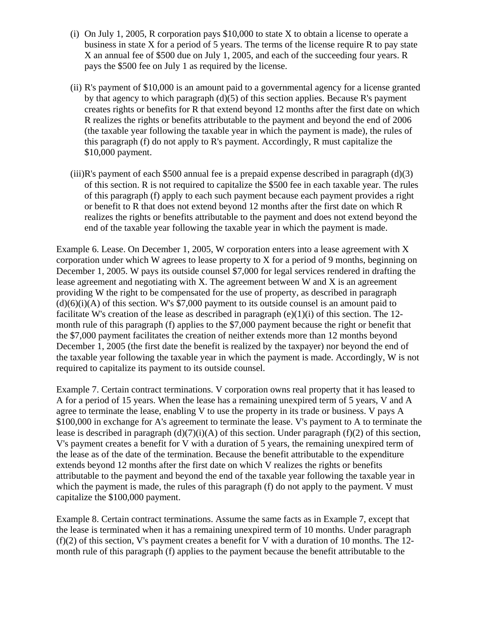- (i) On July 1, 2005, R corporation pays \$10,000 to state X to obtain a license to operate a business in state X for a period of 5 years. The terms of the license require R to pay state X an annual fee of \$500 due on July 1, 2005, and each of the succeeding four years. R pays the \$500 fee on July 1 as required by the license.
- (ii) R's payment of \$10,000 is an amount paid to a governmental agency for a license granted by that agency to which paragraph (d)(5) of this section applies. Because R's payment creates rights or benefits for R that extend beyond 12 months after the first date on which R realizes the rights or benefits attributable to the payment and beyond the end of 2006 (the taxable year following the taxable year in which the payment is made), the rules of this paragraph (f) do not apply to R's payment. Accordingly, R must capitalize the \$10,000 payment.
- (iii)R's payment of each \$500 annual fee is a prepaid expense described in paragraph  $(d)(3)$ of this section. R is not required to capitalize the \$500 fee in each taxable year. The rules of this paragraph (f) apply to each such payment because each payment provides a right or benefit to R that does not extend beyond 12 months after the first date on which R realizes the rights or benefits attributable to the payment and does not extend beyond the end of the taxable year following the taxable year in which the payment is made.

Example 6. Lease. On December 1, 2005, W corporation enters into a lease agreement with X corporation under which W agrees to lease property to X for a period of 9 months, beginning on December 1, 2005. W pays its outside counsel \$7,000 for legal services rendered in drafting the lease agreement and negotiating with X. The agreement between W and X is an agreement providing W the right to be compensated for the use of property, as described in paragraph  $(d)(6)(i)(A)$  of this section. W's \$7,000 payment to its outside counsel is an amount paid to facilitate W's creation of the lease as described in paragraph  $(e)(1)(i)$  of this section. The 12month rule of this paragraph (f) applies to the \$7,000 payment because the right or benefit that the \$7,000 payment facilitates the creation of neither extends more than 12 months beyond December 1, 2005 (the first date the benefit is realized by the taxpayer) nor beyond the end of the taxable year following the taxable year in which the payment is made. Accordingly, W is not required to capitalize its payment to its outside counsel.

Example 7. Certain contract terminations. V corporation owns real property that it has leased to A for a period of 15 years. When the lease has a remaining unexpired term of 5 years, V and A agree to terminate the lease, enabling V to use the property in its trade or business. V pays A \$100,000 in exchange for A's agreement to terminate the lease. V's payment to A to terminate the lease is described in paragraph  $(d)(7)(i)(A)$  of this section. Under paragraph  $(f)(2)$  of this section, V's payment creates a benefit for V with a duration of 5 years, the remaining unexpired term of the lease as of the date of the termination. Because the benefit attributable to the expenditure extends beyond 12 months after the first date on which V realizes the rights or benefits attributable to the payment and beyond the end of the taxable year following the taxable year in which the payment is made, the rules of this paragraph (f) do not apply to the payment. V must capitalize the \$100,000 payment.

Example 8. Certain contract terminations. Assume the same facts as in Example 7, except that the lease is terminated when it has a remaining unexpired term of 10 months. Under paragraph  $(f)(2)$  of this section, V's payment creates a benefit for V with a duration of 10 months. The 12month rule of this paragraph (f) applies to the payment because the benefit attributable to the